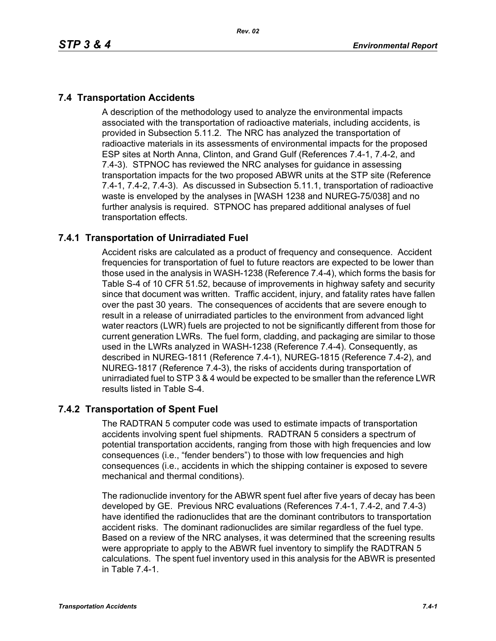# **7.4 Transportation Accidents**

A description of the methodology used to analyze the environmental impacts associated with the transportation of radioactive materials, including accidents, is provided in Subsection 5.11.2. The NRC has analyzed the transportation of radioactive materials in its assessments of environmental impacts for the proposed ESP sites at North Anna, Clinton, and Grand Gulf (References 7.4-1, 7.4-2, and 7.4-3). STPNOC has reviewed the NRC analyses for guidance in assessing transportation impacts for the two proposed ABWR units at the STP site (Reference 7.4-1, 7.4-2, 7.4-3). As discussed in Subsection 5.11.1, transportation of radioactive waste is enveloped by the analyses in [WASH 1238 and NUREG-75/038] and no further analysis is required. STPNOC has prepared additional analyses of fuel transportation effects.

# **7.4.1 Transportation of Unirradiated Fuel**

Accident risks are calculated as a product of frequency and consequence. Accident frequencies for transportation of fuel to future reactors are expected to be lower than those used in the analysis in WASH-1238 (Reference 7.4-4), which forms the basis for Table S-4 of 10 CFR 51.52, because of improvements in highway safety and security since that document was written. Traffic accident, injury, and fatality rates have fallen over the past 30 years. The consequences of accidents that are severe enough to result in a release of unirradiated particles to the environment from advanced light water reactors (LWR) fuels are projected to not be significantly different from those for current generation LWRs. The fuel form, cladding, and packaging are similar to those used in the LWRs analyzed in WASH-1238 (Reference 7.4-4). Consequently, as described in NUREG-1811 (Reference 7.4-1), NUREG-1815 (Reference 7.4-2), and NUREG-1817 (Reference 7.4-3), the risks of accidents during transportation of unirradiated fuel to STP 3 & 4 would be expected to be smaller than the reference LWR results listed in Table S-4.

### **7.4.2 Transportation of Spent Fuel**

The RADTRAN 5 computer code was used to estimate impacts of transportation accidents involving spent fuel shipments. RADTRAN 5 considers a spectrum of potential transportation accidents, ranging from those with high frequencies and low consequences (i.e., "fender benders") to those with low frequencies and high consequences (i.e., accidents in which the shipping container is exposed to severe mechanical and thermal conditions).

The radionuclide inventory for the ABWR spent fuel after five years of decay has been developed by GE. Previous NRC evaluations (References 7.4-1, 7.4-2, and 7.4-3) have identified the radionuclides that are the dominant contributors to transportation accident risks. The dominant radionuclides are similar regardless of the fuel type. Based on a review of the NRC analyses, it was determined that the screening results were appropriate to apply to the ABWR fuel inventory to simplify the RADTRAN 5 calculations. The spent fuel inventory used in this analysis for the ABWR is presented in Table 7.4-1.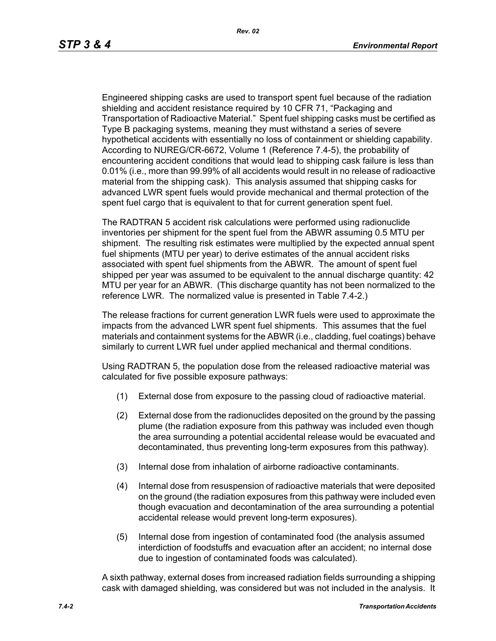Engineered shipping casks are used to transport spent fuel because of the radiation shielding and accident resistance required by 10 CFR 71, "Packaging and Transportation of Radioactive Material." Spent fuel shipping casks must be certified as Type B packaging systems, meaning they must withstand a series of severe hypothetical accidents with essentially no loss of containment or shielding capability. According to NUREG/CR-6672, Volume 1 (Reference 7.4-5), the probability of encountering accident conditions that would lead to shipping cask failure is less than 0.01% (i.e., more than 99.99% of all accidents would result in no release of radioactive material from the shipping cask). This analysis assumed that shipping casks for advanced LWR spent fuels would provide mechanical and thermal protection of the spent fuel cargo that is equivalent to that for current generation spent fuel.

The RADTRAN 5 accident risk calculations were performed using radionuclide inventories per shipment for the spent fuel from the ABWR assuming 0.5 MTU per shipment. The resulting risk estimates were multiplied by the expected annual spent fuel shipments (MTU per year) to derive estimates of the annual accident risks associated with spent fuel shipments from the ABWR. The amount of spent fuel shipped per year was assumed to be equivalent to the annual discharge quantity: 42 MTU per year for an ABWR. (This discharge quantity has not been normalized to the reference LWR. The normalized value is presented in Table 7.4-2.)

The release fractions for current generation LWR fuels were used to approximate the impacts from the advanced LWR spent fuel shipments. This assumes that the fuel materials and containment systems for the ABWR (i.e., cladding, fuel coatings) behave similarly to current LWR fuel under applied mechanical and thermal conditions.

Using RADTRAN 5, the population dose from the released radioactive material was calculated for five possible exposure pathways:

- (1) External dose from exposure to the passing cloud of radioactive material.
- (2) External dose from the radionuclides deposited on the ground by the passing plume (the radiation exposure from this pathway was included even though the area surrounding a potential accidental release would be evacuated and decontaminated, thus preventing long-term exposures from this pathway).
- (3) Internal dose from inhalation of airborne radioactive contaminants.
- (4) Internal dose from resuspension of radioactive materials that were deposited on the ground (the radiation exposures from this pathway were included even though evacuation and decontamination of the area surrounding a potential accidental release would prevent long-term exposures).
- (5) Internal dose from ingestion of contaminated food (the analysis assumed interdiction of foodstuffs and evacuation after an accident; no internal dose due to ingestion of contaminated foods was calculated).

A sixth pathway, external doses from increased radiation fields surrounding a shipping cask with damaged shielding, was considered but was not included in the analysis. It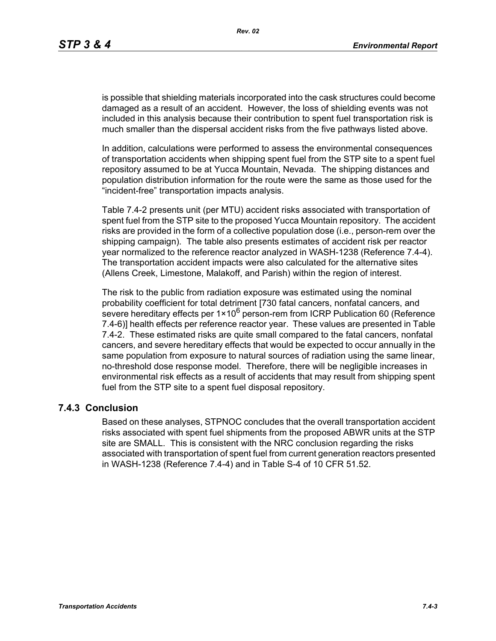is possible that shielding materials incorporated into the cask structures could become damaged as a result of an accident. However, the loss of shielding events was not included in this analysis because their contribution to spent fuel transportation risk is much smaller than the dispersal accident risks from the five pathways listed above.

In addition, calculations were performed to assess the environmental consequences of transportation accidents when shipping spent fuel from the STP site to a spent fuel repository assumed to be at Yucca Mountain, Nevada. The shipping distances and population distribution information for the route were the same as those used for the "incident-free" transportation impacts analysis.

Table 7.4-2 presents unit (per MTU) accident risks associated with transportation of spent fuel from the STP site to the proposed Yucca Mountain repository. The accident risks are provided in the form of a collective population dose (i.e., person-rem over the shipping campaign). The table also presents estimates of accident risk per reactor year normalized to the reference reactor analyzed in WASH-1238 (Reference 7.4-4). The transportation accident impacts were also calculated for the alternative sites (Allens Creek, Limestone, Malakoff, and Parish) within the region of interest.

The risk to the public from radiation exposure was estimated using the nominal probability coefficient for total detriment [730 fatal cancers, nonfatal cancers, and severe hereditary effects per  $1 \times 10^6$  person-rem from ICRP Publication 60 (Reference 7.4-6)] health effects per reference reactor year. These values are presented in Table 7.4-2. These estimated risks are quite small compared to the fatal cancers, nonfatal cancers, and severe hereditary effects that would be expected to occur annually in the same population from exposure to natural sources of radiation using the same linear, no-threshold dose response model. Therefore, there will be negligible increases in environmental risk effects as a result of accidents that may result from shipping spent fuel from the STP site to a spent fuel disposal repository.

#### **7.4.3 Conclusion**

Based on these analyses, STPNOC concludes that the overall transportation accident risks associated with spent fuel shipments from the proposed ABWR units at the STP site are SMALL. This is consistent with the NRC conclusion regarding the risks associated with transportation of spent fuel from current generation reactors presented in WASH-1238 (Reference 7.4-4) and in Table S-4 of 10 CFR 51.52.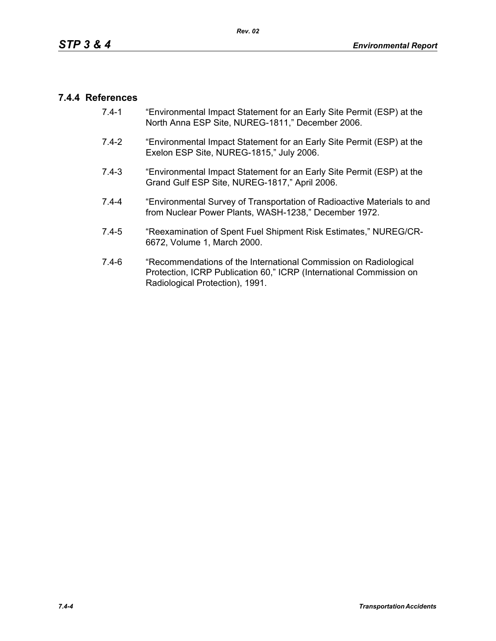### **7.4.4 References**

- 7.4-1 "Environmental Impact Statement for an Early Site Permit (ESP) at the North Anna ESP Site, NUREG-1811," December 2006.
- 7.4-2 "Environmental Impact Statement for an Early Site Permit (ESP) at the Exelon ESP Site, NUREG-1815," July 2006.
- 7.4-3 "Environmental Impact Statement for an Early Site Permit (ESP) at the Grand Gulf ESP Site, NUREG-1817," April 2006.
- 7.4-4 "Environmental Survey of Transportation of Radioactive Materials to and from Nuclear Power Plants, WASH-1238," December 1972.
- 7.4-5 "Reexamination of Spent Fuel Shipment Risk Estimates," NUREG/CR-6672, Volume 1, March 2000.
- 7.4-6 "Recommendations of the International Commission on Radiological Protection, ICRP Publication 60," ICRP (International Commission on Radiological Protection), 1991.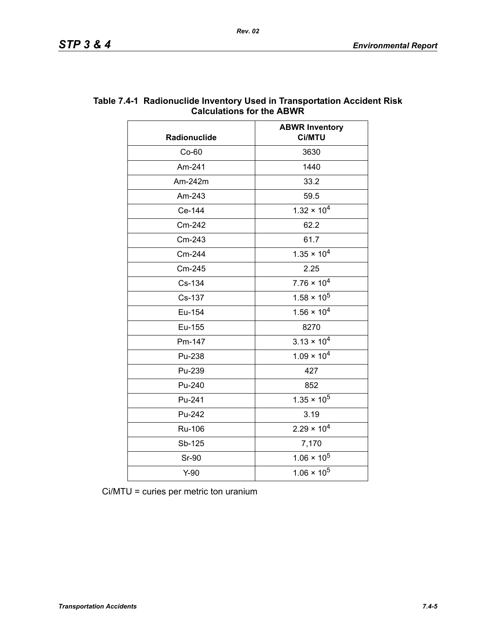| Radionuclide | <b>ABWR Inventory</b><br>Ci/MTU |  |
|--------------|---------------------------------|--|
| $Co-60$      | 3630                            |  |
| Am-241       | 1440                            |  |
| Am-242m      | 33.2                            |  |
| Am-243       | 59.5                            |  |
| Ce-144       | $1.32 \times 10^{4}$            |  |
| Cm-242       | 62.2                            |  |
| Cm-243       | 61.7                            |  |
| Cm-244       | $1.35 \times 10^{4}$            |  |
| Cm-245       | 2.25                            |  |
| Cs-134       | $7.76 \times 10^4$              |  |
| Cs-137       | $1.58 \times 10^5$              |  |
| Eu-154       | $1.56 \times 10^{4}$            |  |
| Eu-155       | 8270                            |  |
| Pm-147       | $3.13 \times 10^{4}$            |  |
| Pu-238       | $1.09 \times 10^{4}$            |  |
| Pu-239       | 427                             |  |
| Pu-240       | 852                             |  |
| Pu-241       | $1.35 \times 10^5$              |  |
| Pu-242       | 3.19                            |  |
| Ru-106       | $2.29 \times 10^{4}$            |  |
| Sb-125       | 7,170                           |  |
| <b>Sr-90</b> | $1.06 \times 10^5$              |  |
| $Y-90$       | $1.06 \times 10^5$              |  |

#### **Table 7.4-1 Radionuclide Inventory Used in Transportation Accident Risk Calculations for the ABWR**

Ci/MTU = curies per metric ton uranium